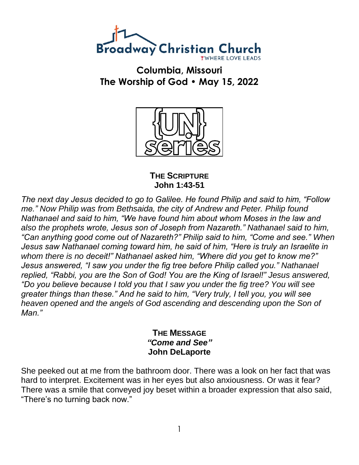

**Columbia, Missouri The Worship of God • May 15, 2022**



**THE SCRIPTURE John 1:43-51**

*The next day Jesus decided to go to Galilee. He found Philip and said to him, "Follow me." Now Philip was from Bethsaida, the city of Andrew and Peter. Philip found Nathanael and said to him, "We have found him about whom Moses in the law and also the prophets wrote, Jesus son of Joseph from Nazareth." Nathanael said to him, "Can anything good come out of Nazareth?" Philip said to him, "Come and see." When Jesus saw Nathanael coming toward him, he said of him, "Here is truly an Israelite in whom there is no deceit!" Nathanael asked him, "Where did you get to know me?" Jesus answered, "I saw you under the fig tree before Philip called you." Nathanael replied, "Rabbi, you are the Son of God! You are the King of Israel!" Jesus answered, "Do you believe because I told you that I saw you under the fig tree? You will see greater things than these." And he said to him, "Very truly, I tell you, you will see heaven opened and the angels of God ascending and descending upon the Son of Man."*

> **THE MESSAGE** *"Come and See"* **John DeLaporte**

She peeked out at me from the bathroom door. There was a look on her fact that was hard to interpret. Excitement was in her eyes but also anxiousness. Or was it fear? There was a smile that conveyed joy beset within a broader expression that also said, "There's no turning back now."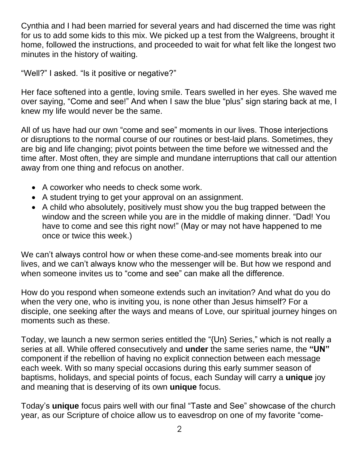Cynthia and I had been married for several years and had discerned the time was right for us to add some kids to this mix. We picked up a test from the Walgreens, brought it home, followed the instructions, and proceeded to wait for what felt like the longest two minutes in the history of waiting.

"Well?" I asked. "Is it positive or negative?"

Her face softened into a gentle, loving smile. Tears swelled in her eyes. She waved me over saying, "Come and see!" And when I saw the blue "plus" sign staring back at me, I knew my life would never be the same.

All of us have had our own "come and see" moments in our lives. Those interjections or disruptions to the normal course of our routines or best-laid plans. Sometimes, they are big and life changing; pivot points between the time before we witnessed and the time after. Most often, they are simple and mundane interruptions that call our attention away from one thing and refocus on another.

- A coworker who needs to check some work.
- A student trying to get your approval on an assignment.
- A child who absolutely, positively must show you the bug trapped between the window and the screen while you are in the middle of making dinner. "Dad! You have to come and see this right now!" (May or may not have happened to me once or twice this week.)

We can't always control how or when these come-and-see moments break into our lives, and we can't always know who the messenger will be. But how we respond and when someone invites us to "come and see" can make all the difference.

How do you respond when someone extends such an invitation? And what do you do when the very one, who is inviting you, is none other than Jesus himself? For a disciple, one seeking after the ways and means of Love, our spiritual journey hinges on moments such as these.

Today, we launch a new sermon series entitled the "{Un} Series," which is not really a series at all. While offered consecutively and **under** the same series name, the **"UN"**  component if the rebellion of having no explicit connection between each message each week. With so many special occasions during this early summer season of baptisms, holidays, and special points of focus, each Sunday will carry a **unique** joy and meaning that is deserving of its own **unique** focus.

Today's **unique** focus pairs well with our final "Taste and See" showcase of the church year, as our Scripture of choice allow us to eavesdrop on one of my favorite "come-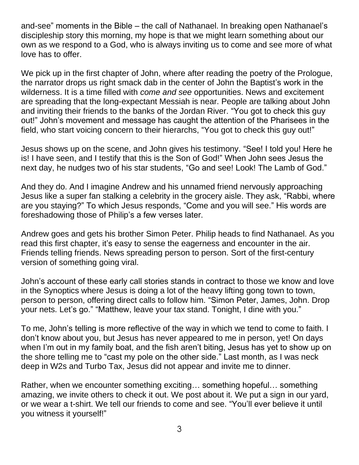and-see" moments in the Bible – the call of Nathanael. In breaking open Nathanael's discipleship story this morning, my hope is that we might learn something about our own as we respond to a God, who is always inviting us to come and see more of what love has to offer.

We pick up in the first chapter of John, where after reading the poetry of the Prologue, the narrator drops us right smack dab in the center of John the Baptist's work in the wilderness. It is a time filled with *come and see* opportunities. News and excitement are spreading that the long-expectant Messiah is near. People are talking about John and inviting their friends to the banks of the Jordan River. "You got to check this guy out!" John's movement and message has caught the attention of the Pharisees in the field, who start voicing concern to their hierarchs, "You got to check this guy out!"

Jesus shows up on the scene, and John gives his testimony. "See! I told you! Here he is! I have seen, and I testify that this is the Son of God!" When John sees Jesus the next day, he nudges two of his star students, "Go and see! Look! The Lamb of God."

And they do. And I imagine Andrew and his unnamed friend nervously approaching Jesus like a super fan stalking a celebrity in the grocery aisle. They ask, "Rabbi, where are you staying?" To which Jesus responds, "Come and you will see." His words are foreshadowing those of Philip's a few verses later.

Andrew goes and gets his brother Simon Peter. Philip heads to find Nathanael. As you read this first chapter, it's easy to sense the eagerness and encounter in the air. Friends telling friends. News spreading person to person. Sort of the first-century version of something going viral.

John's account of these early call stories stands in contract to those we know and love in the Synoptics where Jesus is doing a lot of the heavy lifting gong town to town, person to person, offering direct calls to follow him. "Simon Peter, James, John. Drop your nets. Let's go." "Matthew, leave your tax stand. Tonight, I dine with you."

To me, John's telling is more reflective of the way in which we tend to come to faith. I don't know about you, but Jesus has never appeared to me in person, yet! On days when I'm out in my family boat, and the fish aren't biting, Jesus has yet to show up on the shore telling me to "cast my pole on the other side." Last month, as I was neck deep in W2s and Turbo Tax, Jesus did not appear and invite me to dinner.

Rather, when we encounter something exciting… something hopeful… something amazing, we invite others to check it out. We post about it. We put a sign in our yard, or we wear a t-shirt. We tell our friends to come and see. "You'll ever believe it until you witness it yourself!"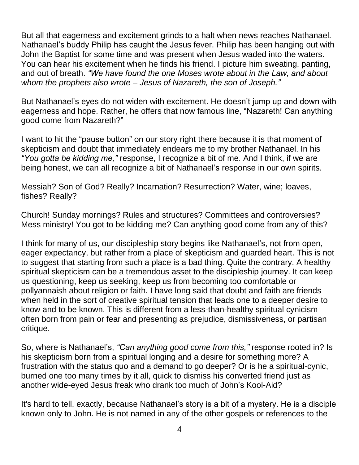But all that eagerness and excitement grinds to a halt when news reaches Nathanael. Nathanael's buddy Philip has caught the Jesus fever. Philip has been hanging out with John the Baptist for some time and was present when Jesus waded into the waters. You can hear his excitement when he finds his friend. I picture him sweating, panting, and out of breath. *"We have found the one Moses wrote about in the Law, and about whom the prophets also wrote – Jesus of Nazareth, the son of Joseph."*

But Nathanael's eyes do not widen with excitement. He doesn't jump up and down with eagerness and hope. Rather, he offers that now famous line, "Nazareth! Can anything good come from Nazareth?"

I want to hit the "pause button" on our story right there because it is that moment of skepticism and doubt that immediately endears me to my brother Nathanael. In his *"You gotta be kidding me,"* response, I recognize a bit of me. And I think, if we are being honest, we can all recognize a bit of Nathanael's response in our own spirits.

Messiah? Son of God? Really? Incarnation? Resurrection? Water, wine; loaves, fishes? Really?

Church! Sunday mornings? Rules and structures? Committees and controversies? Mess ministry! You got to be kidding me? Can anything good come from any of this?

I think for many of us, our discipleship story begins like Nathanael's, not from open, eager expectancy, but rather from a place of skepticism and guarded heart. This is not to suggest that starting from such a place is a bad thing. Quite the contrary. A healthy spiritual skepticism can be a tremendous asset to the discipleship journey. It can keep us questioning, keep us seeking, keep us from becoming too comfortable or pollyannaish about religion or faith. I have long said that doubt and faith are friends when held in the sort of creative spiritual tension that leads one to a deeper desire to know and to be known. This is different from a less-than-healthy spiritual cynicism often born from pain or fear and presenting as prejudice, dismissiveness, or partisan critique.

So, where is Nathanael's, *"Can anything good come from this,"* response rooted in? Is his skepticism born from a spiritual longing and a desire for something more? A frustration with the status quo and a demand to go deeper? Or is he a spiritual-cynic, burned one too many times by it all, quick to dismiss his converted friend just as another wide-eyed Jesus freak who drank too much of John's Kool-Aid?

It's hard to tell, exactly, because Nathanael's story is a bit of a mystery. He is a disciple known only to John. He is not named in any of the other gospels or references to the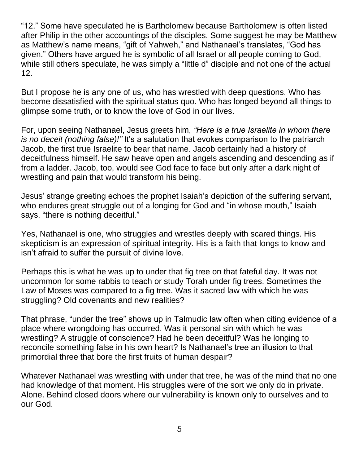"12." Some have speculated he is Bartholomew because Bartholomew is often listed after Philip in the other accountings of the disciples. Some suggest he may be Matthew as Matthew's name means, "gift of Yahweh," and Nathanael's translates, "God has given." Others have argued he is symbolic of all Israel or all people coming to God, while still others speculate, he was simply a "little d" disciple and not one of the actual 12.

But I propose he is any one of us, who has wrestled with deep questions. Who has become dissatisfied with the spiritual status quo. Who has longed beyond all things to glimpse some truth, or to know the love of God in our lives.

For, upon seeing Nathanael, Jesus greets him, *"Here is a true Israelite in whom there is no deceit (nothing false)!"* It's a salutation that evokes comparison to the patriarch Jacob, the first true Israelite to bear that name. Jacob certainly had a history of deceitfulness himself. He saw heave open and angels ascending and descending as if from a ladder. Jacob, too, would see God face to face but only after a dark night of wrestling and pain that would transform his being.

Jesus' strange greeting echoes the prophet Isaiah's depiction of the suffering servant, who endures great struggle out of a longing for God and "in whose mouth," Isaiah says, "there is nothing deceitful."

Yes, Nathanael is one, who struggles and wrestles deeply with scared things. His skepticism is an expression of spiritual integrity. His is a faith that longs to know and isn't afraid to suffer the pursuit of divine love.

Perhaps this is what he was up to under that fig tree on that fateful day. It was not uncommon for some rabbis to teach or study Torah under fig trees. Sometimes the Law of Moses was compared to a fig tree. Was it sacred law with which he was struggling? Old covenants and new realities?

That phrase, "under the tree" shows up in Talmudic law often when citing evidence of a place where wrongdoing has occurred. Was it personal sin with which he was wrestling? A struggle of conscience? Had he been deceitful? Was he longing to reconcile something false in his own heart? Is Nathanael's tree an illusion to that primordial three that bore the first fruits of human despair?

Whatever Nathanael was wrestling with under that tree, he was of the mind that no one had knowledge of that moment. His struggles were of the sort we only do in private. Alone. Behind closed doors where our vulnerability is known only to ourselves and to our God.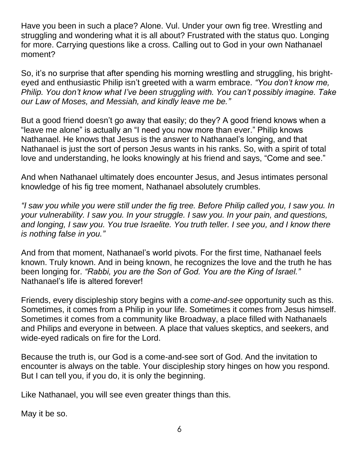Have you been in such a place? Alone. Vul. Under your own fig tree. Wrestling and struggling and wondering what it is all about? Frustrated with the status quo. Longing for more. Carrying questions like a cross. Calling out to God in your own Nathanael moment?

So, it's no surprise that after spending his morning wrestling and struggling, his brighteyed and enthusiastic Philip isn't greeted with a warm embrace. *"You don't know me, Philip. You don't know what I've been struggling with. You can't possibly imagine. Take our Law of Moses, and Messiah, and kindly leave me be."*

But a good friend doesn't go away that easily; do they? A good friend knows when a "leave me alone" is actually an "I need you now more than ever." Philip knows Nathanael. He knows that Jesus is the answer to Nathanael's longing, and that Nathanael is just the sort of person Jesus wants in his ranks. So, with a spirit of total love and understanding, he looks knowingly at his friend and says, "Come and see."

And when Nathanael ultimately does encounter Jesus, and Jesus intimates personal knowledge of his fig tree moment, Nathanael absolutely crumbles.

*"I saw you while you were still under the fig tree. Before Philip called you, I saw you. In your vulnerability. I saw you. In your struggle. I saw you. In your pain, and questions, and longing, I saw you. You true Israelite. You truth teller. I see you, and I know there is nothing false in you."*

And from that moment, Nathanael's world pivots. For the first time, Nathanael feels known. Truly known. And in being known, he recognizes the love and the truth he has been longing for. *"Rabbi, you are the Son of God. You are the King of Israel."*  Nathanael's life is altered forever!

Friends, every discipleship story begins with a *come-and-see* opportunity such as this. Sometimes, it comes from a Philip in your life. Sometimes it comes from Jesus himself. Sometimes it comes from a community like Broadway, a place filled with Nathanaels and Philips and everyone in between. A place that values skeptics, and seekers, and wide-eyed radicals on fire for the Lord.

Because the truth is, our God is a come-and-see sort of God. And the invitation to encounter is always on the table. Your discipleship story hinges on how you respond. But I can tell you, if you do, it is only the beginning.

Like Nathanael, you will see even greater things than this.

May it be so.